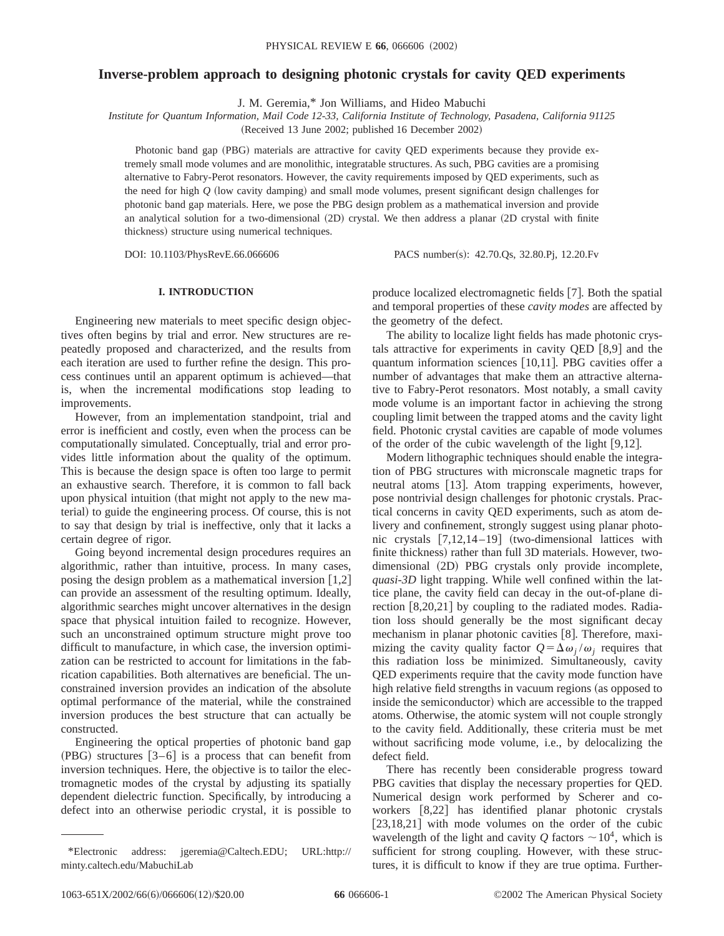# **Inverse-problem approach to designing photonic crystals for cavity QED experiments**

J. M. Geremia,\* Jon Williams, and Hideo Mabuchi

*Institute for Quantum Information, Mail Code 12-33, California Institute of Technology, Pasadena, California 91125* (Received 13 June 2002; published 16 December 2002)

Photonic band gap (PBG) materials are attractive for cavity QED experiments because they provide extremely small mode volumes and are monolithic, integratable structures. As such, PBG cavities are a promising alternative to Fabry-Perot resonators. However, the cavity requirements imposed by QED experiments, such as the need for high  $Q$  (low cavity damping) and small mode volumes, present significant design challenges for photonic band gap materials. Here, we pose the PBG design problem as a mathematical inversion and provide an analytical solution for a two-dimensional  $(2D)$  crystal. We then address a planar  $(2D$  crystal with finite thickness) structure using numerical techniques.

DOI: 10.1103/PhysRevE.66.066606 PACS number(s): 42.70.Qs, 32.80.Pj, 12.20.Fv

# **I. INTRODUCTION**

Engineering new materials to meet specific design objectives often begins by trial and error. New structures are repeatedly proposed and characterized, and the results from each iteration are used to further refine the design. This process continues until an apparent optimum is achieved—that is, when the incremental modifications stop leading to improvements.

However, from an implementation standpoint, trial and error is inefficient and costly, even when the process can be computationally simulated. Conceptually, trial and error provides little information about the quality of the optimum. This is because the design space is often too large to permit an exhaustive search. Therefore, it is common to fall back upon physical intuition (that might not apply to the new material) to guide the engineering process. Of course, this is not to say that design by trial is ineffective, only that it lacks a certain degree of rigor.

Going beyond incremental design procedures requires an algorithmic, rather than intuitive, process. In many cases, posing the design problem as a mathematical inversion  $\lceil 1,2 \rceil$ can provide an assessment of the resulting optimum. Ideally, algorithmic searches might uncover alternatives in the design space that physical intuition failed to recognize. However, such an unconstrained optimum structure might prove too difficult to manufacture, in which case, the inversion optimization can be restricted to account for limitations in the fabrication capabilities. Both alternatives are beneficial. The unconstrained inversion provides an indication of the absolute optimal performance of the material, while the constrained inversion produces the best structure that can actually be constructed.

Engineering the optical properties of photonic band gap  $(PBG)$  structures  $[3-6]$  is a process that can benefit from inversion techniques. Here, the objective is to tailor the electromagnetic modes of the crystal by adjusting its spatially dependent dielectric function. Specifically, by introducing a defect into an otherwise periodic crystal, it is possible to

produce localized electromagnetic fields [7]. Both the spatial and temporal properties of these *cavity modes* are affected by the geometry of the defect.

The ability to localize light fields has made photonic crystals attractive for experiments in cavity OED  $[8,9]$  and the quantum information sciences [10,11]. PBG cavities offer a number of advantages that make them an attractive alternative to Fabry-Perot resonators. Most notably, a small cavity mode volume is an important factor in achieving the strong coupling limit between the trapped atoms and the cavity light field. Photonic crystal cavities are capable of mode volumes of the order of the cubic wavelength of the light  $[9,12]$ .

Modern lithographic techniques should enable the integration of PBG structures with micronscale magnetic traps for neutral atoms [13]. Atom trapping experiments, however, pose nontrivial design challenges for photonic crystals. Practical concerns in cavity QED experiments, such as atom delivery and confinement, strongly suggest using planar photonic crystals  $[7,12,14-19]$  (two-dimensional lattices with finite thickness) rather than full 3D materials. However, twodimensional (2D) PBG crystals only provide incomplete, *quasi-3D* light trapping. While well confined within the lattice plane, the cavity field can decay in the out-of-plane direction  $[8,20,21]$  by coupling to the radiated modes. Radiation loss should generally be the most significant decay mechanism in planar photonic cavities [8]. Therefore, maximizing the cavity quality factor  $Q = \Delta \omega_i / \omega_i$  requires that this radiation loss be minimized. Simultaneously, cavity QED experiments require that the cavity mode function have high relative field strengths in vacuum regions (as opposed to inside the semiconductor) which are accessible to the trapped atoms. Otherwise, the atomic system will not couple strongly to the cavity field. Additionally, these criteria must be met without sacrificing mode volume, i.e., by delocalizing the defect field.

There has recently been considerable progress toward PBG cavities that display the necessary properties for QED. Numerical design work performed by Scherer and coworkers  $[8,22]$  has identified planar photonic crystals  $[23,18,21]$  with mode volumes on the order of the cubic wavelength of the light and cavity  $Q$  factors  $\sim 10^4$ , which is sufficient for strong coupling. However, with these structures, it is difficult to know if they are true optima. Further-

<sup>\*</sup>Electronic address: jgeremia@Caltech.EDU; URL:http:// minty.caltech.edu/MabuchiLab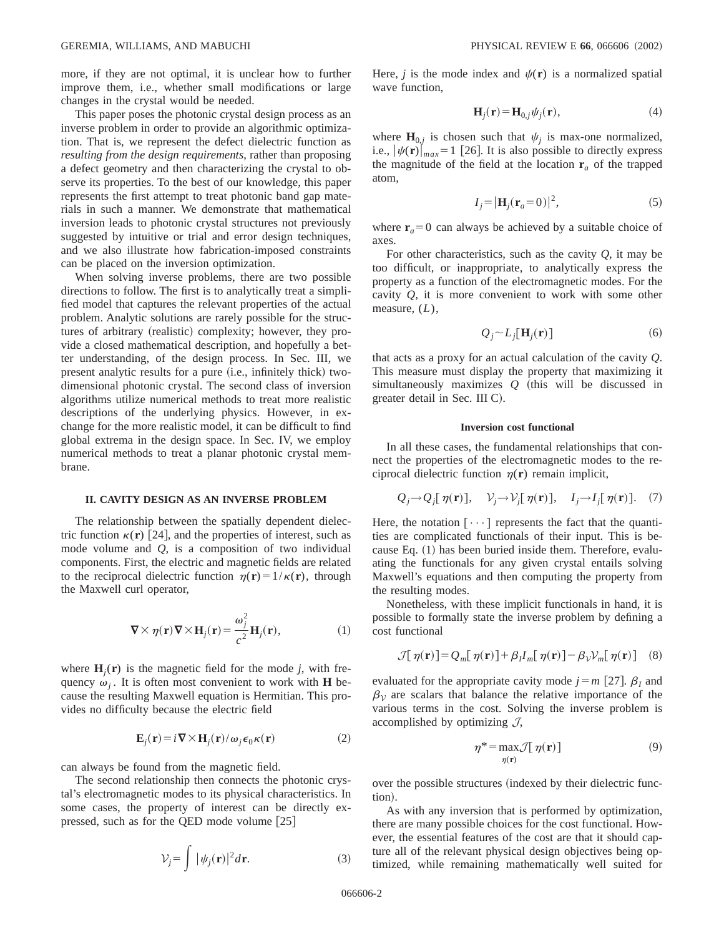more, if they are not optimal, it is unclear how to further improve them, i.e., whether small modifications or large changes in the crystal would be needed.

This paper poses the photonic crystal design process as an inverse problem in order to provide an algorithmic optimization. That is, we represent the defect dielectric function as *resulting from the design requirements*, rather than proposing a defect geometry and then characterizing the crystal to observe its properties. To the best of our knowledge, this paper represents the first attempt to treat photonic band gap materials in such a manner. We demonstrate that mathematical inversion leads to photonic crystal structures not previously suggested by intuitive or trial and error design techniques, and we also illustrate how fabrication-imposed constraints can be placed on the inversion optimization.

When solving inverse problems, there are two possible directions to follow. The first is to analytically treat a simplified model that captures the relevant properties of the actual problem. Analytic solutions are rarely possible for the structures of arbitrary (realistic) complexity; however, they provide a closed mathematical description, and hopefully a better understanding, of the design process. In Sec. III, we present analytic results for a pure (i.e., infinitely thick) twodimensional photonic crystal. The second class of inversion algorithms utilize numerical methods to treat more realistic descriptions of the underlying physics. However, in exchange for the more realistic model, it can be difficult to find global extrema in the design space. In Sec. IV, we employ numerical methods to treat a planar photonic crystal membrane.

### **II. CAVITY DESIGN AS AN INVERSE PROBLEM**

The relationship between the spatially dependent dielectric function  $\kappa(\mathbf{r})$  [24], and the properties of interest, such as mode volume and *Q*, is a composition of two individual components. First, the electric and magnetic fields are related to the reciprocal dielectric function  $\eta(\mathbf{r}) = 1/\kappa(\mathbf{r})$ , through the Maxwell curl operator,

$$
\nabla \times \eta(\mathbf{r}) \nabla \times \mathbf{H}_j(\mathbf{r}) = \frac{\omega_j^2}{c^2} \mathbf{H}_j(\mathbf{r}),
$$
 (1)

where  $H_i(r)$  is the magnetic field for the mode *j*, with frequency  $\omega_i$ . It is often most convenient to work with **H** because the resulting Maxwell equation is Hermitian. This provides no difficulty because the electric field

$$
\mathbf{E}_j(\mathbf{r}) = i \nabla \times \mathbf{H}_j(\mathbf{r}) / \omega_j \epsilon_0 \kappa(\mathbf{r})
$$
 (2)

can always be found from the magnetic field.

The second relationship then connects the photonic crystal's electromagnetic modes to its physical characteristics. In some cases, the property of interest can be directly expressed, such as for the QED mode volume  $[25]$ 

$$
\mathcal{V}_j = \int |\psi_j(\mathbf{r})|^2 d\mathbf{r}.\tag{3}
$$

Here, *j* is the mode index and  $\psi(\mathbf{r})$  is a normalized spatial wave function,

$$
\mathbf{H}_j(\mathbf{r}) = \mathbf{H}_{0,j} \psi_j(\mathbf{r}),\tag{4}
$$

where  $\mathbf{H}_{0,j}$  is chosen such that  $\psi_j$  is max-one normalized, i.e.,  $|\psi(\mathbf{r})|_{max} = 1$  [26]. It is also possible to directly express the magnitude of the field at the location  $\mathbf{r}_a$  of the trapped atom,

$$
I_j = |\mathbf{H}_j(\mathbf{r}_a = 0)|^2,\tag{5}
$$

where  $\mathbf{r}_a = 0$  can always be achieved by a suitable choice of axes.

For other characteristics, such as the cavity *Q*, it may be too difficult, or inappropriate, to analytically express the property as a function of the electromagnetic modes. For the cavity *Q*, it is more convenient to work with some other measure, (*L*),

$$
Q_j \sim L_j[\mathbf{H}_j(\mathbf{r})] \tag{6}
$$

that acts as a proxy for an actual calculation of the cavity *Q*. This measure must display the property that maximizing it simultaneously maximizes  $Q$  (this will be discussed in greater detail in Sec. III C).

### **Inversion cost functional**

In all these cases, the fundamental relationships that connect the properties of the electromagnetic modes to the reciprocal dielectric function  $\eta(\mathbf{r})$  remain implicit,

$$
Q_j \rightarrow Q_j[\eta(\mathbf{r})], \quad V_j \rightarrow V_j[\eta(\mathbf{r})], \quad I_j \rightarrow I_j[\eta(\mathbf{r})].
$$
 (7)

Here, the notation  $[\cdots]$  represents the fact that the quantities are complicated functionals of their input. This is because Eq.  $(1)$  has been buried inside them. Therefore, evaluating the functionals for any given crystal entails solving Maxwell's equations and then computing the property from the resulting modes.

Nonetheless, with these implicit functionals in hand, it is possible to formally state the inverse problem by defining a cost functional

$$
\mathcal{J}[\,\eta(\mathbf{r})] = Q_m[\,\eta(\mathbf{r})] + \beta_l I_m[\,\eta(\mathbf{r})] - \beta_V \mathcal{V}_m[\,\eta(\mathbf{r})] \tag{8}
$$

evaluated for the appropriate cavity mode  $j=m$  [27].  $\beta_I$  and  $\beta_{\mathcal{V}}$  are scalars that balance the relative importance of the various terms in the cost. Solving the inverse problem is accomplished by optimizing  $J$ ,

$$
\eta^* = \max_{\eta(\mathbf{r})} \mathcal{J}[\eta(\mathbf{r})] \tag{9}
$$

over the possible structures (indexed by their dielectric function).

As with any inversion that is performed by optimization, there are many possible choices for the cost functional. However, the essential features of the cost are that it should capture all of the relevant physical design objectives being optimized, while remaining mathematically well suited for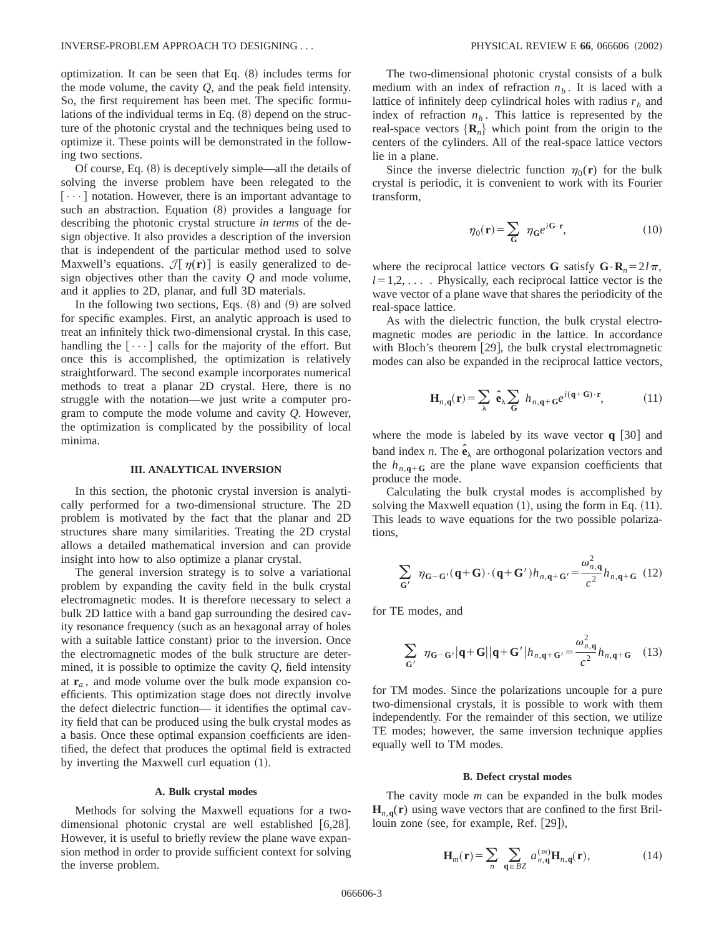optimization. It can be seen that Eq.  $(8)$  includes terms for the mode volume, the cavity *Q*, and the peak field intensity. So, the first requirement has been met. The specific formulations of the individual terms in Eq.  $(8)$  depend on the structure of the photonic crystal and the techniques being used to optimize it. These points will be demonstrated in the following two sections.

Of course, Eq.  $(8)$  is deceptively simple—all the details of solving the inverse problem have been relegated to the  $\lceil \cdots \rceil$  notation. However, there is an important advantage to such an abstraction. Equation  $(8)$  provides a language for describing the photonic crystal structure *in terms* of the design objective. It also provides a description of the inversion that is independent of the particular method used to solve Maxwell's equations.  $\mathcal{J}[\eta(\mathbf{r})]$  is easily generalized to design objectives other than the cavity *Q* and mode volume, and it applies to 2D, planar, and full 3D materials.

In the following two sections, Eqs.  $(8)$  and  $(9)$  are solved for specific examples. First, an analytic approach is used to treat an infinitely thick two-dimensional crystal. In this case, handling the  $[\cdots]$  calls for the majority of the effort. But once this is accomplished, the optimization is relatively straightforward. The second example incorporates numerical methods to treat a planar 2D crystal. Here, there is no struggle with the notation—we just write a computer program to compute the mode volume and cavity *Q*. However, the optimization is complicated by the possibility of local minima.

### **III. ANALYTICAL INVERSION**

In this section, the photonic crystal inversion is analytically performed for a two-dimensional structure. The 2D problem is motivated by the fact that the planar and 2D structures share many similarities. Treating the 2D crystal allows a detailed mathematical inversion and can provide insight into how to also optimize a planar crystal.

The general inversion strategy is to solve a variational problem by expanding the cavity field in the bulk crystal electromagnetic modes. It is therefore necessary to select a bulk 2D lattice with a band gap surrounding the desired cavity resonance frequency (such as an hexagonal array of holes with a suitable lattice constant) prior to the inversion. Once the electromagnetic modes of the bulk structure are determined, it is possible to optimize the cavity *Q*, field intensity at  $\mathbf{r}_a$ , and mode volume over the bulk mode expansion coefficients. This optimization stage does not directly involve the defect dielectric function— it identifies the optimal cavity field that can be produced using the bulk crystal modes as a basis. Once these optimal expansion coefficients are identified, the defect that produces the optimal field is extracted by inverting the Maxwell curl equation  $(1)$ .

### **A. Bulk crystal modes**

Methods for solving the Maxwell equations for a twodimensional photonic crystal are well established  $[6,28]$ . However, it is useful to briefly review the plane wave expansion method in order to provide sufficient context for solving the inverse problem.

The two-dimensional photonic crystal consists of a bulk medium with an index of refraction  $n<sub>b</sub>$ . It is laced with a lattice of infinitely deep cylindrical holes with radius  $r<sub>h</sub>$  and index of refraction  $n_h$ . This lattice is represented by the real-space vectors  ${R_n}$  which point from the origin to the centers of the cylinders. All of the real-space lattice vectors lie in a plane.

Since the inverse dielectric function  $\eta_0(\mathbf{r})$  for the bulk crystal is periodic, it is convenient to work with its Fourier transform,

$$
\eta_0(\mathbf{r}) = \sum_{\mathbf{G}} \eta_{\mathbf{G}} e^{i\mathbf{G} \cdot \mathbf{r}},\tag{10}
$$

where the reciprocal lattice vectors **G** satisfy  $\mathbf{G} \cdot \mathbf{R}_n = 2 l \pi$ ,  $l=1,2,...$  . Physically, each reciprocal lattice vector is the wave vector of a plane wave that shares the periodicity of the real-space lattice.

As with the dielectric function, the bulk crystal electromagnetic modes are periodic in the lattice. In accordance with Bloch's theorem  $[29]$ , the bulk crystal electromagnetic modes can also be expanded in the reciprocal lattice vectors,

$$
\mathbf{H}_{n,q}(\mathbf{r}) = \sum_{\lambda} \hat{\mathbf{e}}_{\lambda} \sum_{\mathbf{G}} h_{n,q+G} e^{i(\mathbf{q} + \mathbf{G}) \cdot \mathbf{r}}, \quad (11)
$$

where the mode is labeled by its wave vector  $q$  [30] and band index *n*. The  $\hat{\mathbf{e}}_{\lambda}$  are orthogonal polarization vectors and the  $h_{n,q+G}$  are the plane wave expansion coefficients that produce the mode.

Calculating the bulk crystal modes is accomplished by solving the Maxwell equation  $(1)$ , using the form in Eq.  $(11)$ . This leads to wave equations for the two possible polarizations,

$$
\sum_{\mathbf{G}'} \eta_{\mathbf{G}-\mathbf{G}'}(\mathbf{q}+\mathbf{G}) \cdot (\mathbf{q}+\mathbf{G}')h_{n,\mathbf{q}+\mathbf{G}'} = \frac{\omega_{n,\mathbf{q}}^2}{c^2} h_{n,\mathbf{q}+\mathbf{G}} \tag{12}
$$

for TE modes, and

$$
\sum_{\mathbf{G'}} \eta_{\mathbf{G}-\mathbf{G'}} |\mathbf{q}+\mathbf{G}| |\mathbf{q}+\mathbf{G'}| h_{n,\mathbf{q}+\mathbf{G'}} = \frac{\omega_{n,\mathbf{q}}^2}{c^2} h_{n,\mathbf{q}+\mathbf{G}} \quad (13)
$$

for TM modes. Since the polarizations uncouple for a pure two-dimensional crystals, it is possible to work with them independently. For the remainder of this section, we utilize TE modes; however, the same inversion technique applies equally well to TM modes.

### **B. Defect crystal modes**

The cavity mode *m* can be expanded in the bulk modes  $H_{n,q}(r)$  using wave vectors that are confined to the first Brillouin zone (see, for example, Ref.  $[29]$ ),

$$
\mathbf{H}_{m}(\mathbf{r}) = \sum_{n} \sum_{\mathbf{q} \in BZ} a_{n,\mathbf{q}}^{(m)} \mathbf{H}_{n,\mathbf{q}}(\mathbf{r}), \qquad (14)
$$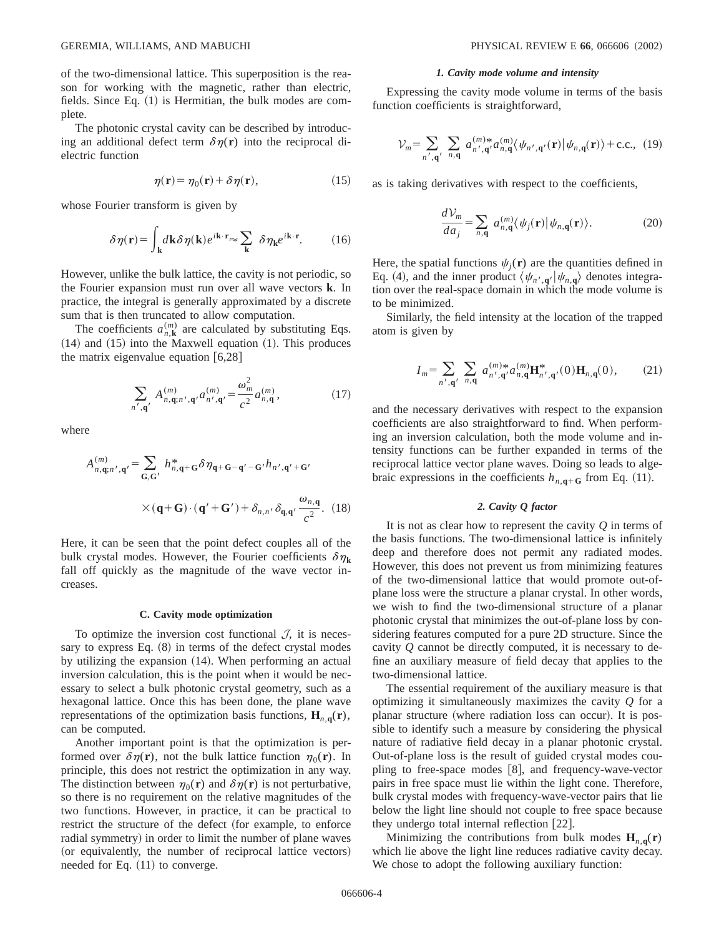of the two-dimensional lattice. This superposition is the reason for working with the magnetic, rather than electric, fields. Since Eq.  $(1)$  is Hermitian, the bulk modes are complete.

The photonic crystal cavity can be described by introducing an additional defect term  $\delta \eta(\mathbf{r})$  into the reciprocal dielectric function

$$
\eta(\mathbf{r}) = \eta_0(\mathbf{r}) + \delta \eta(\mathbf{r}),\tag{15}
$$

whose Fourier transform is given by

$$
\delta \eta(\mathbf{r}) = \int_{\mathbf{k}} d\mathbf{k} \delta \eta(\mathbf{k}) e^{i\mathbf{k} \cdot \mathbf{r}} \approx \sum_{\mathbf{k}} \delta \eta_{\mathbf{k}} e^{i\mathbf{k} \cdot \mathbf{r}}.
$$
 (16)

However, unlike the bulk lattice, the cavity is not periodic, so the Fourier expansion must run over all wave vectors **k**. In practice, the integral is generally approximated by a discrete sum that is then truncated to allow computation.

The coefficients  $a_{n,k}^{(m)}$  are calculated by substituting Eqs.  $(14)$  and  $(15)$  into the Maxwell equation  $(1)$ . This produces the matrix eigenvalue equation  $[6,28]$ 

$$
\sum_{n',\mathbf{q'}} A^{(m)}_{n,\mathbf{q};n',\mathbf{q'}} a^{(m)}_{n',\mathbf{q'}} = \frac{\omega_m^2}{c^2} a^{(m)}_{n,\mathbf{q}},\tag{17}
$$

where

$$
A_{n,\mathbf{q};n',\mathbf{q'}}^{(m)} = \sum_{\mathbf{G},\mathbf{G'}} h_{n,\mathbf{q}+\mathbf{G}}^* \delta \eta_{\mathbf{q}+\mathbf{G}-\mathbf{q'}-\mathbf{G'}} h_{n',\mathbf{q'}+\mathbf{G'}}
$$
  
 
$$
\times (\mathbf{q}+\mathbf{G}) \cdot (\mathbf{q'}+\mathbf{G'}) + \delta_{n,n'} \delta_{\mathbf{q},\mathbf{q'}} \frac{\omega_{n,\mathbf{q}}}{c^2}.
$$
 (18)

Here, it can be seen that the point defect couples all of the bulk crystal modes. However, the Fourier coefficients  $\delta \eta_k$ fall off quickly as the magnitude of the wave vector increases.

#### **C. Cavity mode optimization**

To optimize the inversion cost functional  $\mathcal{J}$ , it is necessary to express Eq.  $(8)$  in terms of the defect crystal modes by utilizing the expansion  $(14)$ . When performing an actual inversion calculation, this is the point when it would be necessary to select a bulk photonic crystal geometry, such as a hexagonal lattice. Once this has been done, the plane wave representations of the optimization basis functions,  $\mathbf{H}_{n,q}(\mathbf{r})$ , can be computed.

Another important point is that the optimization is performed over  $\delta \eta(\mathbf{r})$ , not the bulk lattice function  $\eta_0(\mathbf{r})$ . In principle, this does not restrict the optimization in any way. The distinction between  $\eta_0(\mathbf{r})$  and  $\delta \eta(\mathbf{r})$  is not perturbative, so there is no requirement on the relative magnitudes of the two functions. However, in practice, it can be practical to restrict the structure of the defect (for example, to enforce radial symmetry) in order to limit the number of plane waves (or equivalently, the number of reciprocal lattice vectors) needed for Eq.  $(11)$  to converge.

#### *1. Cavity mode volume and intensity*

Expressing the cavity mode volume in terms of the basis function coefficients is straightforward,

$$
\mathcal{V}_m = \sum_{n',\mathbf{q'}} \sum_{n,\mathbf{q}} a_{n',\mathbf{q'}}^{(m)*} a_{n,\mathbf{q}}^{(m)} \langle \psi_{n',\mathbf{q'}}(\mathbf{r}) | \psi_{n,\mathbf{q}}(\mathbf{r}) \rangle + \text{c.c., (19)}
$$

as is taking derivatives with respect to the coefficients,

$$
\frac{dV_m}{da_j} = \sum_{n,\mathbf{q}} a_{n,\mathbf{q}}^{(m)} \langle \psi_j(\mathbf{r}) | \psi_{n,\mathbf{q}}(\mathbf{r}) \rangle.
$$
 (20)

Here, the spatial functions  $\psi_i(\mathbf{r})$  are the quantities defined in Eq. (4), and the inner product  $\langle \psi_{n',q'} | \psi_{n,q} \rangle$  denotes integration over the real-space domain in which the mode volume is to be minimized.

Similarly, the field intensity at the location of the trapped atom is given by

$$
I_m = \sum_{n',\mathbf{q'}} \sum_{n,\mathbf{q}} a_{n',\mathbf{q'}}^{(m)*} a_{n,\mathbf{q}}^{(m)} \mathbf{H}_{n',\mathbf{q'}}^{*}(0) \mathbf{H}_{n,\mathbf{q}}(0), \qquad (21)
$$

and the necessary derivatives with respect to the expansion coefficients are also straightforward to find. When performing an inversion calculation, both the mode volume and intensity functions can be further expanded in terms of the reciprocal lattice vector plane waves. Doing so leads to algebraic expressions in the coefficients  $h_{n,q+G}$  from Eq. (11).

## *2. Cavity Q factor*

It is not as clear how to represent the cavity *Q* in terms of the basis functions. The two-dimensional lattice is infinitely deep and therefore does not permit any radiated modes. However, this does not prevent us from minimizing features of the two-dimensional lattice that would promote out-ofplane loss were the structure a planar crystal. In other words, we wish to find the two-dimensional structure of a planar photonic crystal that minimizes the out-of-plane loss by considering features computed for a pure 2D structure. Since the cavity *Q* cannot be directly computed, it is necessary to define an auxiliary measure of field decay that applies to the two-dimensional lattice.

The essential requirement of the auxiliary measure is that optimizing it simultaneously maximizes the cavity *Q* for a planar structure (where radiation loss can occur). It is possible to identify such a measure by considering the physical nature of radiative field decay in a planar photonic crystal. Out-of-plane loss is the result of guided crystal modes coupling to free-space modes  $|8|$ , and frequency-wave-vector pairs in free space must lie within the light cone. Therefore, bulk crystal modes with frequency-wave-vector pairs that lie below the light line should not couple to free space because they undergo total internal reflection  $[22]$ .

Minimizing the contributions from bulk modes  $H_{n,q}(r)$ which lie above the light line reduces radiative cavity decay. We chose to adopt the following auxiliary function: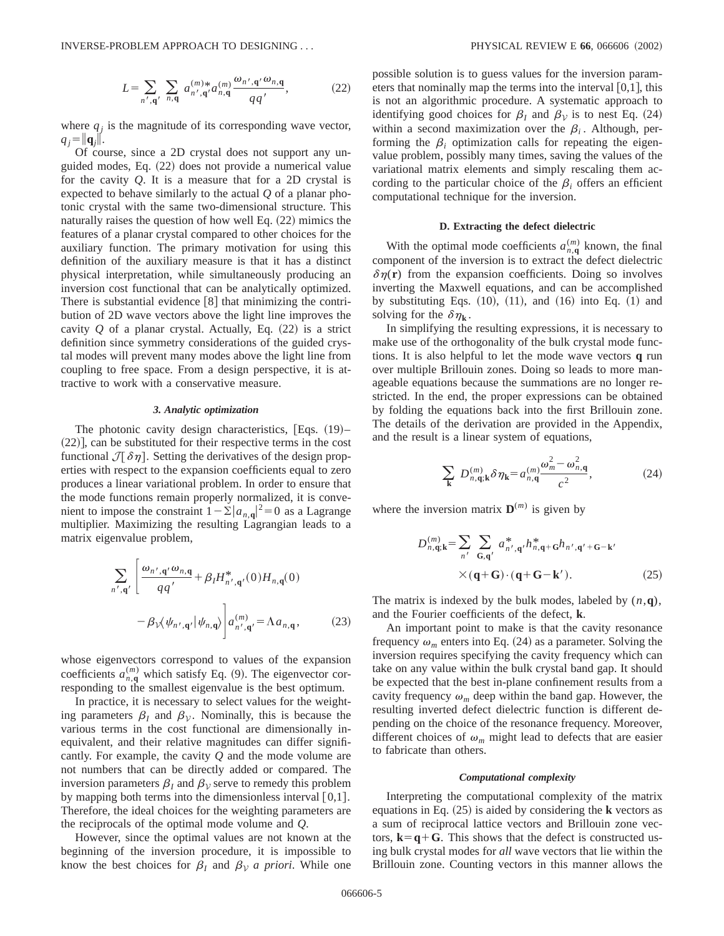$$
L = \sum_{n',\mathbf{q'}} \sum_{n,\mathbf{q}} a_{n',\mathbf{q'}}^{(m)*} a_{n,\mathbf{q}}^{(m)} \frac{\omega_{n',\mathbf{q'}} \omega_{n,\mathbf{q}}}{q q'},
$$
 (22)

where  $q_i$  is the magnitude of its corresponding wave vector,  $q_i = ||\mathbf{q}_i||.$ 

Of course, since a 2D crystal does not support any unguided modes, Eq.  $(22)$  does not provide a numerical value for the cavity *Q*. It is a measure that for a 2D crystal is expected to behave similarly to the actual *Q* of a planar photonic crystal with the same two-dimensional structure. This naturally raises the question of how well Eq.  $(22)$  mimics the features of a planar crystal compared to other choices for the auxiliary function. The primary motivation for using this definition of the auxiliary measure is that it has a distinct physical interpretation, while simultaneously producing an inversion cost functional that can be analytically optimized. There is substantial evidence  $\lceil 8 \rceil$  that minimizing the contribution of 2D wave vectors above the light line improves the cavity  $Q$  of a planar crystal. Actually, Eq.  $(22)$  is a strict definition since symmetry considerations of the guided crystal modes will prevent many modes above the light line from coupling to free space. From a design perspective, it is attractive to work with a conservative measure.

## *3. Analytic optimization*

The photonic cavity design characteristics,  $Eqs. (19)$ –  $(22)$ , can be substituted for their respective terms in the cost functional  $\mathcal{J}[\delta\eta]$ . Setting the derivatives of the design properties with respect to the expansion coefficients equal to zero produces a linear variational problem. In order to ensure that the mode functions remain properly normalized, it is convenient to impose the constraint  $1-\Sigma |a_{n,q}|^2 = 0$  as a Lagrange multiplier. Maximizing the resulting Lagrangian leads to a matrix eigenvalue problem,

$$
\sum_{n',\mathbf{q}'} \left[ \frac{\omega_{n',\mathbf{q}'} \omega_{n,\mathbf{q}}}{q q'} + \beta_l H^{*}_{n',\mathbf{q}'}(0) H_{n,\mathbf{q}}(0) - \beta_l \chi \psi_{n',\mathbf{q}'} |\psi_{n,\mathbf{q}} \rangle \right] d_{n',\mathbf{q}'}^{(m)} = \Lambda a_{n,\mathbf{q}}, \tag{23}
$$

whose eigenvectors correspond to values of the expansion coefficients  $a_{n,q}^{(m)}$  which satisfy Eq. (9). The eigenvector corresponding to the smallest eigenvalue is the best optimum.

In practice, it is necessary to select values for the weighting parameters  $\beta_I$  and  $\beta_V$ . Nominally, this is because the various terms in the cost functional are dimensionally inequivalent, and their relative magnitudes can differ significantly. For example, the cavity *Q* and the mode volume are not numbers that can be directly added or compared. The inversion parameters  $\beta_I$  and  $\beta_V$  serve to remedy this problem by mapping both terms into the dimensionless interval  $[0,1]$ . Therefore, the ideal choices for the weighting parameters are the reciprocals of the optimal mode volume and *Q*.

However, since the optimal values are not known at the beginning of the inversion procedure, it is impossible to know the best choices for  $\beta_I$  and  $\beta_V$  *a priori*. While one possible solution is to guess values for the inversion parameters that nominally map the terms into the interval  $[0,1]$ , this is not an algorithmic procedure. A systematic approach to identifying good choices for  $\beta_I$  and  $\beta_V$  is to nest Eq. (24) within a second maximization over the  $\beta_i$ . Although, performing the  $\beta_i$  optimization calls for repeating the eigenvalue problem, possibly many times, saving the values of the variational matrix elements and simply rescaling them according to the particular choice of the  $\beta_i$  offers an efficient computational technique for the inversion.

## **D. Extracting the defect dielectric**

With the optimal mode coefficients  $a_{n,q}^{(m)}$  known, the final component of the inversion is to extract the defect dielectric  $\delta \eta(\mathbf{r})$  from the expansion coefficients. Doing so involves inverting the Maxwell equations, and can be accomplished by substituting Eqs.  $(10)$ ,  $(11)$ , and  $(16)$  into Eq.  $(1)$  and solving for the  $\delta \eta_{\bf k}$ .

In simplifying the resulting expressions, it is necessary to make use of the orthogonality of the bulk crystal mode functions. It is also helpful to let the mode wave vectors **q** run over multiple Brillouin zones. Doing so leads to more manageable equations because the summations are no longer restricted. In the end, the proper expressions can be obtained by folding the equations back into the first Brillouin zone. The details of the derivation are provided in the Appendix, and the result is a linear system of equations,

$$
\sum_{\mathbf{k}} D_{n,\mathbf{q};\mathbf{k}}^{(m)} \delta \eta_{\mathbf{k}} = a_{n,\mathbf{q}}^{(m)} \frac{\omega_m^2 - \omega_{n,\mathbf{q}}^2}{c^2},\tag{24}
$$

where the inversion matrix  $\mathbf{D}^{(m)}$  is given by

$$
D_{n,\mathbf{q};\mathbf{k}}^{(m)} = \sum_{n'} \sum_{\mathbf{G},\mathbf{q'}} a_{n',\mathbf{q'}}^* h_{n,\mathbf{q}+\mathbf{G}}^* h_{n',\mathbf{q'}+\mathbf{G}-\mathbf{k'}}
$$
  
×
$$
(\mathbf{q}+\mathbf{G}) \cdot (\mathbf{q}+\mathbf{G}-\mathbf{k'}).
$$
 (25)

The matrix is indexed by the bulk modes, labeled by (*n*,**q**), and the Fourier coefficients of the defect, **k**.

An important point to make is that the cavity resonance frequency  $\omega_m$  enters into Eq. (24) as a parameter. Solving the inversion requires specifying the cavity frequency which can take on any value within the bulk crystal band gap. It should be expected that the best in-plane confinement results from a cavity frequency  $\omega_m$  deep within the band gap. However, the resulting inverted defect dielectric function is different depending on the choice of the resonance frequency. Moreover, different choices of  $\omega_m$  might lead to defects that are easier to fabricate than others.

#### *Computational complexity*

Interpreting the computational complexity of the matrix equations in Eq.  $(25)$  is aided by considering the **k** vectors as a sum of reciprocal lattice vectors and Brillouin zone vectors,  $\mathbf{k} = \mathbf{q} + \mathbf{G}$ . This shows that the defect is constructed using bulk crystal modes for *all* wave vectors that lie within the Brillouin zone. Counting vectors in this manner allows the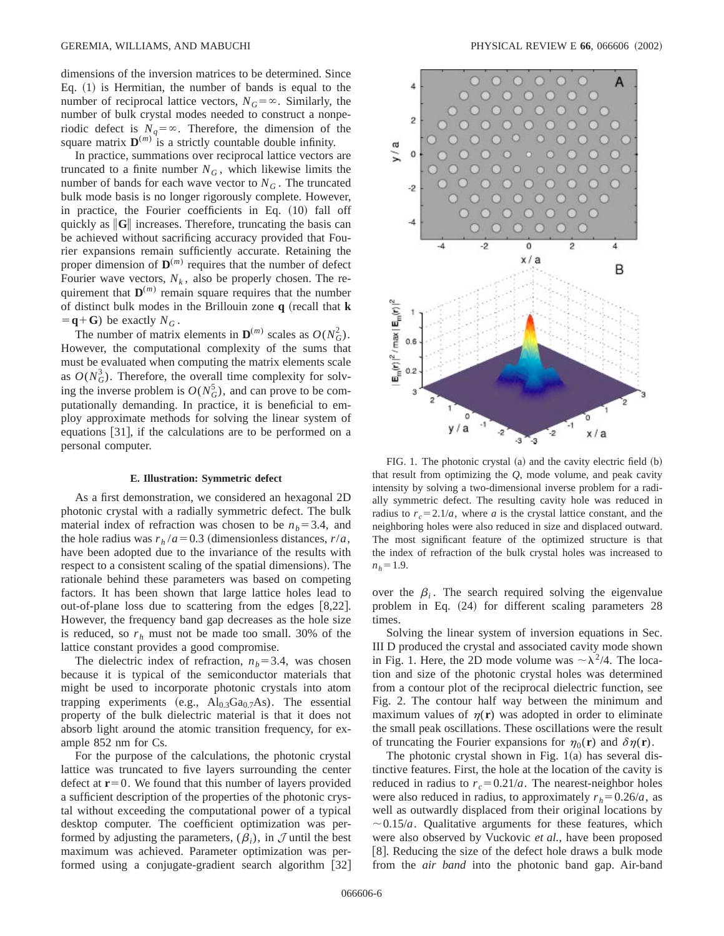dimensions of the inversion matrices to be determined. Since Eq.  $(1)$  is Hermitian, the number of bands is equal to the number of reciprocal lattice vectors,  $N_G = \infty$ . Similarly, the number of bulk crystal modes needed to construct a nonperiodic defect is  $N_q = \infty$ . Therefore, the dimension of the square matrix  $\mathbf{D}^{(m)}$  is a strictly countable double infinity.

In practice, summations over reciprocal lattice vectors are truncated to a finite number  $N_G$ , which likewise limits the number of bands for each wave vector to  $N_G$ . The truncated bulk mode basis is no longer rigorously complete. However, in practice, the Fourier coefficients in Eq.  $(10)$  fall off quickly as **G** increases. Therefore, truncating the basis can be achieved without sacrificing accuracy provided that Fourier expansions remain sufficiently accurate. Retaining the proper dimension of  $\mathbf{D}^{(m)}$  requires that the number of defect Fourier wave vectors,  $N_k$ , also be properly chosen. The requirement that  $\mathbf{D}^{(m)}$  remain square requires that the number of distinct bulk modes in the Brillouin zone **q** (recall that **k**  $\mathbf{q} + \mathbf{G}$ ) be exactly  $N_G$ .

The number of matrix elements in  $\mathbf{D}^{(m)}$  scales as  $O(N_G^2)$ . However, the computational complexity of the sums that must be evaluated when computing the matrix elements scale as  $O(N_G^3)$ . Therefore, the overall time complexity for solving the inverse problem is  $O(N_G^5)$ , and can prove to be computationally demanding. In practice, it is beneficial to employ approximate methods for solving the linear system of equations  $[31]$ , if the calculations are to be performed on a personal computer.

#### **E. Illustration: Symmetric defect**

As a first demonstration, we considered an hexagonal 2D photonic crystal with a radially symmetric defect. The bulk material index of refraction was chosen to be  $n_b = 3.4$ , and the hole radius was  $r_h/a = 0.3$  (dimensionless distances,  $r/a$ , have been adopted due to the invariance of the results with respect to a consistent scaling of the spatial dimensions). The rationale behind these parameters was based on competing factors. It has been shown that large lattice holes lead to out-of-plane loss due to scattering from the edges  $[8,22]$ . However, the frequency band gap decreases as the hole size is reduced, so  $r_h$  must not be made too small. 30% of the lattice constant provides a good compromise.

The dielectric index of refraction,  $n_b = 3.4$ , was chosen because it is typical of the semiconductor materials that might be used to incorporate photonic crystals into atom trapping experiments (e.g.,  $Al_{0.3}Ga_{0.7}As$ ). The essential property of the bulk dielectric material is that it does not absorb light around the atomic transition frequency, for example 852 nm for Cs.

For the purpose of the calculations, the photonic crystal lattice was truncated to five layers surrounding the center defect at  $r=0$ . We found that this number of layers provided a sufficient description of the properties of the photonic crystal without exceeding the computational power of a typical desktop computer. The coefficient optimization was performed by adjusting the parameters,  $(\beta_i)$ , in  $\mathcal J$  until the best maximum was achieved. Parameter optimization was performed using a conjugate-gradient search algorithm  $[32]$ 



FIG. 1. The photonic crystal  $(a)$  and the cavity electric field  $(b)$ that result from optimizing the *Q*, mode volume, and peak cavity intensity by solving a two-dimensional inverse problem for a radially symmetric defect. The resulting cavity hole was reduced in radius to  $r_c = 2.1/a$ , where *a* is the crystal lattice constant, and the neighboring holes were also reduced in size and displaced outward. The most significant feature of the optimized structure is that the index of refraction of the bulk crystal holes was increased to  $n_h$ =1.9.

over the  $\beta$ <sub>i</sub>. The search required solving the eigenvalue problem in Eq.  $(24)$  for different scaling parameters 28 times.

Solving the linear system of inversion equations in Sec. III D produced the crystal and associated cavity mode shown in Fig. 1. Here, the 2D mode volume was  $\sim \lambda^2/4$ . The location and size of the photonic crystal holes was determined from a contour plot of the reciprocal dielectric function, see Fig. 2. The contour half way between the minimum and maximum values of  $\eta(r)$  was adopted in order to eliminate the small peak oscillations. These oscillations were the result of truncating the Fourier expansions for  $\eta_0(\mathbf{r})$  and  $\delta \eta(\mathbf{r})$ .

The photonic crystal shown in Fig.  $1(a)$  has several distinctive features. First, the hole at the location of the cavity is reduced in radius to  $r_c = 0.21/a$ . The nearest-neighbor holes were also reduced in radius, to approximately  $r_h = 0.26/a$ , as well as outwardly displaced from their original locations by  $\sim$  0.15/*a*. Qualitative arguments for these features, which were also observed by Vuckovic *et al.*, have been proposed [8]. Reducing the size of the defect hole draws a bulk mode from the *air band* into the photonic band gap. Air-band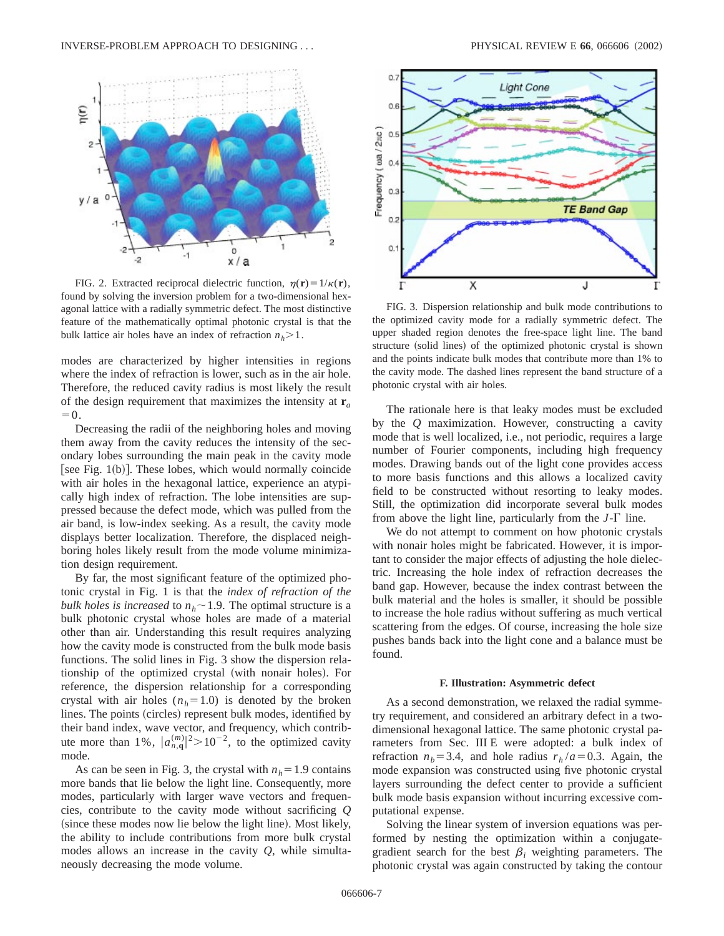

FIG. 2. Extracted reciprocal dielectric function,  $\eta(\mathbf{r}) = 1/\kappa(\mathbf{r})$ , found by solving the inversion problem for a two-dimensional hexagonal lattice with a radially symmetric defect. The most distinctive feature of the mathematically optimal photonic crystal is that the bulk lattice air holes have an index of refraction  $n_h$ >1.

modes are characterized by higher intensities in regions where the index of refraction is lower, such as in the air hole. Therefore, the reduced cavity radius is most likely the result of the design requirement that maximizes the intensity at **r***<sup>a</sup>*  $=0.$ 

Decreasing the radii of the neighboring holes and moving them away from the cavity reduces the intensity of the secondary lobes surrounding the main peak in the cavity mode [see Fig.  $1(b)$ ]. These lobes, which would normally coincide with air holes in the hexagonal lattice, experience an atypically high index of refraction. The lobe intensities are suppressed because the defect mode, which was pulled from the air band, is low-index seeking. As a result, the cavity mode displays better localization. Therefore, the displaced neighboring holes likely result from the mode volume minimization design requirement.

By far, the most significant feature of the optimized photonic crystal in Fig. 1 is that the *index of refraction of the bulk holes is increased* to  $n_h \sim 1.9$ . The optimal structure is a bulk photonic crystal whose holes are made of a material other than air. Understanding this result requires analyzing how the cavity mode is constructed from the bulk mode basis functions. The solid lines in Fig. 3 show the dispersion relationship of the optimized crystal (with nonair holes). For reference, the dispersion relationship for a corresponding crystal with air holes  $(n_h=1.0)$  is denoted by the broken lines. The points (circles) represent bulk modes, identified by their band index, wave vector, and frequency, which contribute more than 1%,  $|a_{n,q}^{(m)}|^2 > 10^{-2}$ , to the optimized cavity mode.

As can be seen in Fig. 3, the crystal with  $n_h=1.9$  contains more bands that lie below the light line. Consequently, more modes, particularly with larger wave vectors and frequencies, contribute to the cavity mode without sacrificing *Q* (since these modes now lie below the light line). Most likely, the ability to include contributions from more bulk crystal modes allows an increase in the cavity *Q*, while simultaneously decreasing the mode volume.



FIG. 3. Dispersion relationship and bulk mode contributions to the optimized cavity mode for a radially symmetric defect. The upper shaded region denotes the free-space light line. The band structure (solid lines) of the optimized photonic crystal is shown and the points indicate bulk modes that contribute more than 1% to the cavity mode. The dashed lines represent the band structure of a photonic crystal with air holes.

The rationale here is that leaky modes must be excluded by the *Q* maximization. However, constructing a cavity mode that is well localized, i.e., not periodic, requires a large number of Fourier components, including high frequency modes. Drawing bands out of the light cone provides access to more basis functions and this allows a localized cavity field to be constructed without resorting to leaky modes. Still, the optimization did incorporate several bulk modes from above the light line, particularly from the  $J-\Gamma$  line.

We do not attempt to comment on how photonic crystals with nonair holes might be fabricated. However, it is important to consider the major effects of adjusting the hole dielectric. Increasing the hole index of refraction decreases the band gap. However, because the index contrast between the bulk material and the holes is smaller, it should be possible to increase the hole radius without suffering as much vertical scattering from the edges. Of course, increasing the hole size pushes bands back into the light cone and a balance must be found.

#### **F. Illustration: Asymmetric defect**

As a second demonstration, we relaxed the radial symmetry requirement, and considered an arbitrary defect in a twodimensional hexagonal lattice. The same photonic crystal parameters from Sec. III E were adopted: a bulk index of refraction  $n_b$ =3.4, and hole radius  $r_h/a$ =0.3. Again, the mode expansion was constructed using five photonic crystal layers surrounding the defect center to provide a sufficient bulk mode basis expansion without incurring excessive computational expense.

Solving the linear system of inversion equations was performed by nesting the optimization within a conjugategradient search for the best  $\beta_i$  weighting parameters. The photonic crystal was again constructed by taking the contour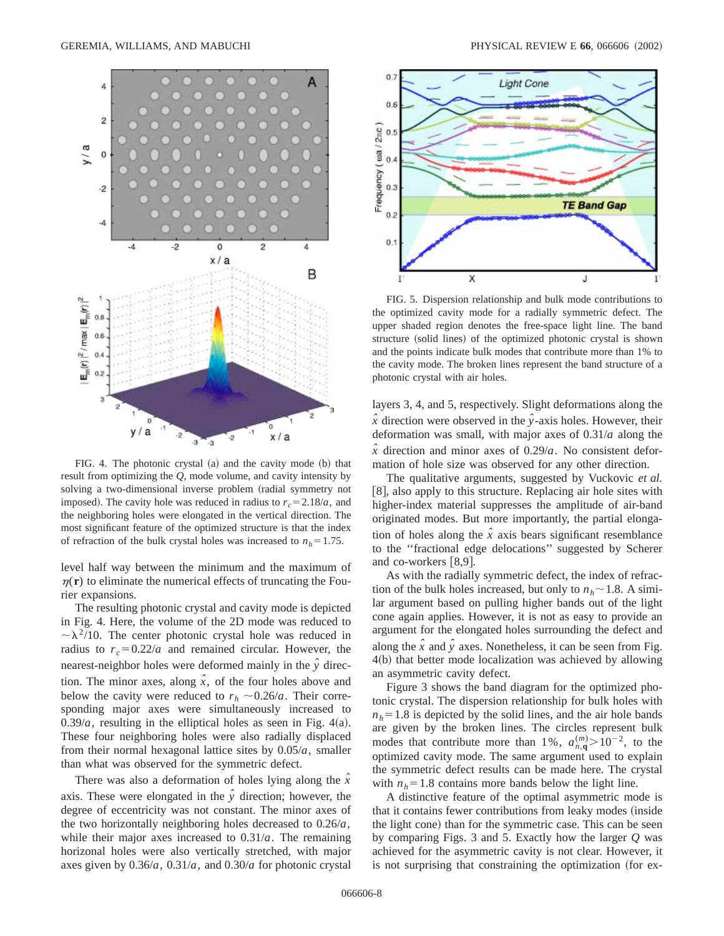

FIG. 4. The photonic crystal  $(a)$  and the cavity mode  $(b)$  that result from optimizing the *Q*, mode volume, and cavity intensity by solving a two-dimensional inverse problem (radial symmetry not imposed). The cavity hole was reduced in radius to  $r_c = 2.18/a$ , and the neighboring holes were elongated in the vertical direction. The most significant feature of the optimized structure is that the index of refraction of the bulk crystal holes was increased to  $n_h = 1.75$ .

level half way between the minimum and the maximum of  $\eta(\mathbf{r})$  to eliminate the numerical effects of truncating the Fourier expansions.

The resulting photonic crystal and cavity mode is depicted in Fig. 4. Here, the volume of the 2D mode was reduced to  $\sim \lambda^2/10$ . The center photonic crystal hole was reduced in radius to  $r_c = 0.22/a$  and remained circular. However, the nearest-neighbor holes were deformed mainly in the  $\hat{y}$  direction. The minor axes, along  $\hat{x}$ , of the four holes above and below the cavity were reduced to  $r_h \sim 0.26/a$ . Their corresponding major axes were simultaneously increased to  $0.39/a$ , resulting in the elliptical holes as seen in Fig. 4(a). These four neighboring holes were also radially displaced from their normal hexagonal lattice sites by 0.05/*a*, smaller than what was observed for the symmetric defect.

There was also a deformation of holes lying along the *xˆ* axis. These were elongated in the  $\hat{y}$  direction; however, the degree of eccentricity was not constant. The minor axes of the two horizontally neighboring holes decreased to 0.26/*a*, while their major axes increased to 0.31/*a*. The remaining horizonal holes were also vertically stretched, with major axes given by 0.36/*a*, 0.31/*a*, and 0.30/*a* for photonic crystal



FIG. 5. Dispersion relationship and bulk mode contributions to the optimized cavity mode for a radially symmetric defect. The upper shaded region denotes the free-space light line. The band structure (solid lines) of the optimized photonic crystal is shown and the points indicate bulk modes that contribute more than 1% to the cavity mode. The broken lines represent the band structure of a photonic crystal with air holes.

layers 3, 4, and 5, respectively. Slight deformations along the  $\hat{x}$  direction were observed in the  $\hat{y}$ -axis holes. However, their deformation was small, with major axes of 0.31/*a* along the  $\hat{x}$  direction and minor axes of 0.29/*a*. No consistent deformation of hole size was observed for any other direction.

The qualitative arguments, suggested by Vuckovic *et al.* [8], also apply to this structure. Replacing air hole sites with higher-index material suppresses the amplitude of air-band originated modes. But more importantly, the partial elongation of holes along the  $\hat{x}$  axis bears significant resemblance to the ''fractional edge delocations'' suggested by Scherer and co-workers  $[8,9]$ .

As with the radially symmetric defect, the index of refraction of the bulk holes increased, but only to  $n_h \sim 1.8$ . A similar argument based on pulling higher bands out of the light cone again applies. However, it is not as easy to provide an argument for the elongated holes surrounding the defect and along the  $\hat{x}$  and  $\hat{y}$  axes. Nonetheless, it can be seen from Fig.  $4(b)$  that better mode localization was achieved by allowing an asymmetric cavity defect.

Figure 3 shows the band diagram for the optimized photonic crystal. The dispersion relationship for bulk holes with  $n_h$ = 1.8 is depicted by the solid lines, and the air hole bands are given by the broken lines. The circles represent bulk modes that contribute more than 1%,  $a_{n,q}^{(m)} > 10^{-2}$ , to the optimized cavity mode. The same argument used to explain the symmetric defect results can be made here. The crystal with  $n_h=1.8$  contains more bands below the light line.

A distinctive feature of the optimal asymmetric mode is that it contains fewer contributions from leaky modes (inside the light cone) than for the symmetric case. This can be seen by comparing Figs. 3 and 5. Exactly how the larger *Q* was achieved for the asymmetric cavity is not clear. However, it is not surprising that constraining the optimization (for ex-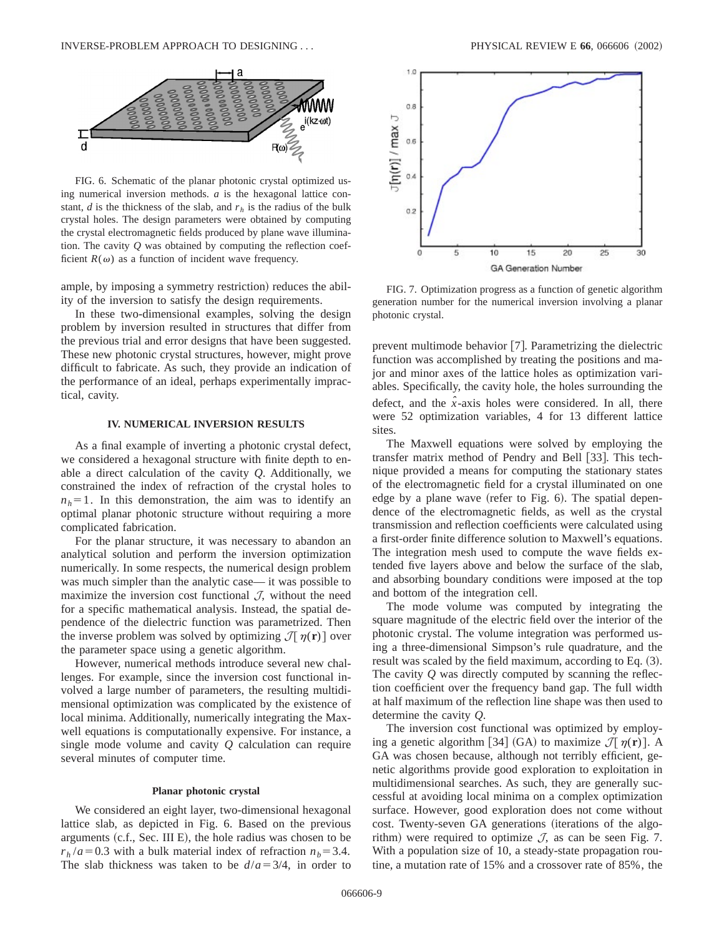

FIG. 6. Schematic of the planar photonic crystal optimized using numerical inversion methods. *a* is the hexagonal lattice constant, *d* is the thickness of the slab, and  $r_h$  is the radius of the bulk crystal holes. The design parameters were obtained by computing the crystal electromagnetic fields produced by plane wave illumination. The cavity *Q* was obtained by computing the reflection coefficient  $R(\omega)$  as a function of incident wave frequency.

ample, by imposing a symmetry restriction) reduces the ability of the inversion to satisfy the design requirements.

In these two-dimensional examples, solving the design problem by inversion resulted in structures that differ from the previous trial and error designs that have been suggested. These new photonic crystal structures, however, might prove difficult to fabricate. As such, they provide an indication of the performance of an ideal, perhaps experimentally impractical, cavity.

## **IV. NUMERICAL INVERSION RESULTS**

As a final example of inverting a photonic crystal defect, we considered a hexagonal structure with finite depth to enable a direct calculation of the cavity *Q*. Additionally, we constrained the index of refraction of the crystal holes to  $n<sub>h</sub>=1$ . In this demonstration, the aim was to identify an optimal planar photonic structure without requiring a more complicated fabrication.

For the planar structure, it was necessary to abandon an analytical solution and perform the inversion optimization numerically. In some respects, the numerical design problem was much simpler than the analytic case— it was possible to maximize the inversion cost functional  $J$ , without the need for a specific mathematical analysis. Instead, the spatial dependence of the dielectric function was parametrized. Then the inverse problem was solved by optimizing  $\mathcal{J}[\eta(\mathbf{r})]$  over the parameter space using a genetic algorithm.

However, numerical methods introduce several new challenges. For example, since the inversion cost functional involved a large number of parameters, the resulting multidimensional optimization was complicated by the existence of local minima. Additionally, numerically integrating the Maxwell equations is computationally expensive. For instance, a single mode volume and cavity *Q* calculation can require several minutes of computer time.

### **Planar photonic crystal**

We considered an eight layer, two-dimensional hexagonal lattice slab, as depicted in Fig. 6. Based on the previous arguments  $(c.f., Sec. III E)$ , the hole radius was chosen to be  $r_h/a = 0.3$  with a bulk material index of refraction  $n_b = 3.4$ . The slab thickness was taken to be  $d/a = 3/4$ , in order to



FIG. 7. Optimization progress as a function of genetic algorithm generation number for the numerical inversion involving a planar photonic crystal.

prevent multimode behavior  $[7]$ . Parametrizing the dielectric function was accomplished by treating the positions and major and minor axes of the lattice holes as optimization variables. Specifically, the cavity hole, the holes surrounding the defect, and the  $\hat{x}$ -axis holes were considered. In all, there were 52 optimization variables, 4 for 13 different lattice sites.

The Maxwell equations were solved by employing the transfer matrix method of Pendry and Bell [33]. This technique provided a means for computing the stationary states of the electromagnetic field for a crystal illuminated on one edge by a plane wave (refer to Fig.  $6$ ). The spatial dependence of the electromagnetic fields, as well as the crystal transmission and reflection coefficients were calculated using a first-order finite difference solution to Maxwell's equations. The integration mesh used to compute the wave fields extended five layers above and below the surface of the slab, and absorbing boundary conditions were imposed at the top and bottom of the integration cell.

The mode volume was computed by integrating the square magnitude of the electric field over the interior of the photonic crystal. The volume integration was performed using a three-dimensional Simpson's rule quadrature, and the result was scaled by the field maximum, according to Eq.  $(3)$ . The cavity *Q* was directly computed by scanning the reflection coefficient over the frequency band gap. The full width at half maximum of the reflection line shape was then used to determine the cavity *Q*.

The inversion cost functional was optimized by employing a genetic algorithm [34] (GA) to maximize  $\mathcal{J}[\eta(\mathbf{r})]$ . A GA was chosen because, although not terribly efficient, genetic algorithms provide good exploration to exploitation in multidimensional searches. As such, they are generally successful at avoiding local minima on a complex optimization surface. However, good exploration does not come without cost. Twenty-seven GA generations (iterations of the algorithm) were required to optimize  $J$ , as can be seen Fig. 7. With a population size of 10, a steady-state propagation routine, a mutation rate of 15% and a crossover rate of 85%, the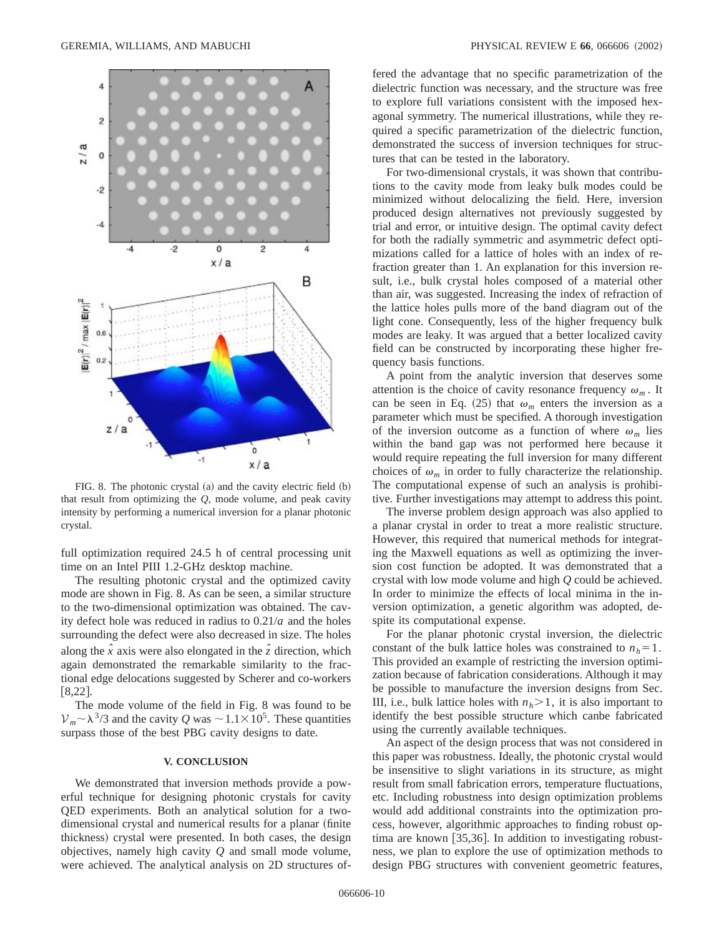

FIG. 8. The photonic crystal  $(a)$  and the cavity electric field  $(b)$ that result from optimizing the *Q*, mode volume, and peak cavity intensity by performing a numerical inversion for a planar photonic crystal.

full optimization required 24.5 h of central processing unit time on an Intel PIII 1.2-GHz desktop machine.

The resulting photonic crystal and the optimized cavity mode are shown in Fig. 8. As can be seen, a similar structure to the two-dimensional optimization was obtained. The cavity defect hole was reduced in radius to 0.21/*a* and the holes surrounding the defect were also decreased in size. The holes along the  $\hat{x}$  axis were also elongated in the  $\hat{z}$  direction, which again demonstrated the remarkable similarity to the fractional edge delocations suggested by Scherer and co-workers  $[8,22]$ .

The mode volume of the field in Fig. 8 was found to be  $V_m \sim \lambda^{3/3}$  and the cavity *Q* was  $\sim 1.1 \times 10^{5}$ . These quantities surpass those of the best PBG cavity designs to date.

# **V. CONCLUSION**

We demonstrated that inversion methods provide a powerful technique for designing photonic crystals for cavity QED experiments. Both an analytical solution for a twodimensional crystal and numerical results for a planar (finite thickness) crystal were presented. In both cases, the design objectives, namely high cavity *Q* and small mode volume, were achieved. The analytical analysis on 2D structures offered the advantage that no specific parametrization of the dielectric function was necessary, and the structure was free to explore full variations consistent with the imposed hexagonal symmetry. The numerical illustrations, while they required a specific parametrization of the dielectric function, demonstrated the success of inversion techniques for structures that can be tested in the laboratory.

For two-dimensional crystals, it was shown that contributions to the cavity mode from leaky bulk modes could be minimized without delocalizing the field. Here, inversion produced design alternatives not previously suggested by trial and error, or intuitive design. The optimal cavity defect for both the radially symmetric and asymmetric defect optimizations called for a lattice of holes with an index of refraction greater than 1. An explanation for this inversion result, i.e., bulk crystal holes composed of a material other than air, was suggested. Increasing the index of refraction of the lattice holes pulls more of the band diagram out of the light cone. Consequently, less of the higher frequency bulk modes are leaky. It was argued that a better localized cavity field can be constructed by incorporating these higher frequency basis functions.

A point from the analytic inversion that deserves some attention is the choice of cavity resonance frequency  $\omega_m$ . It can be seen in Eq. (25) that  $\omega_m$  enters the inversion as a parameter which must be specified. A thorough investigation of the inversion outcome as a function of where  $\omega_m$  lies within the band gap was not performed here because it would require repeating the full inversion for many different choices of  $\omega_m$  in order to fully characterize the relationship. The computational expense of such an analysis is prohibitive. Further investigations may attempt to address this point.

The inverse problem design approach was also applied to a planar crystal in order to treat a more realistic structure. However, this required that numerical methods for integrating the Maxwell equations as well as optimizing the inversion cost function be adopted. It was demonstrated that a crystal with low mode volume and high *Q* could be achieved. In order to minimize the effects of local minima in the inversion optimization, a genetic algorithm was adopted, despite its computational expense.

For the planar photonic crystal inversion, the dielectric constant of the bulk lattice holes was constrained to  $n_h=1$ . This provided an example of restricting the inversion optimization because of fabrication considerations. Although it may be possible to manufacture the inversion designs from Sec. III, i.e., bulk lattice holes with  $n_h$   $\geq$  1, it is also important to identify the best possible structure which canbe fabricated using the currently available techniques.

An aspect of the design process that was not considered in this paper was robustness. Ideally, the photonic crystal would be insensitive to slight variations in its structure, as might result from small fabrication errors, temperature fluctuations, etc. Including robustness into design optimization problems would add additional constraints into the optimization process, however, algorithmic approaches to finding robust optima are known  $[35,36]$ . In addition to investigating robustness, we plan to explore the use of optimization methods to design PBG structures with convenient geometric features,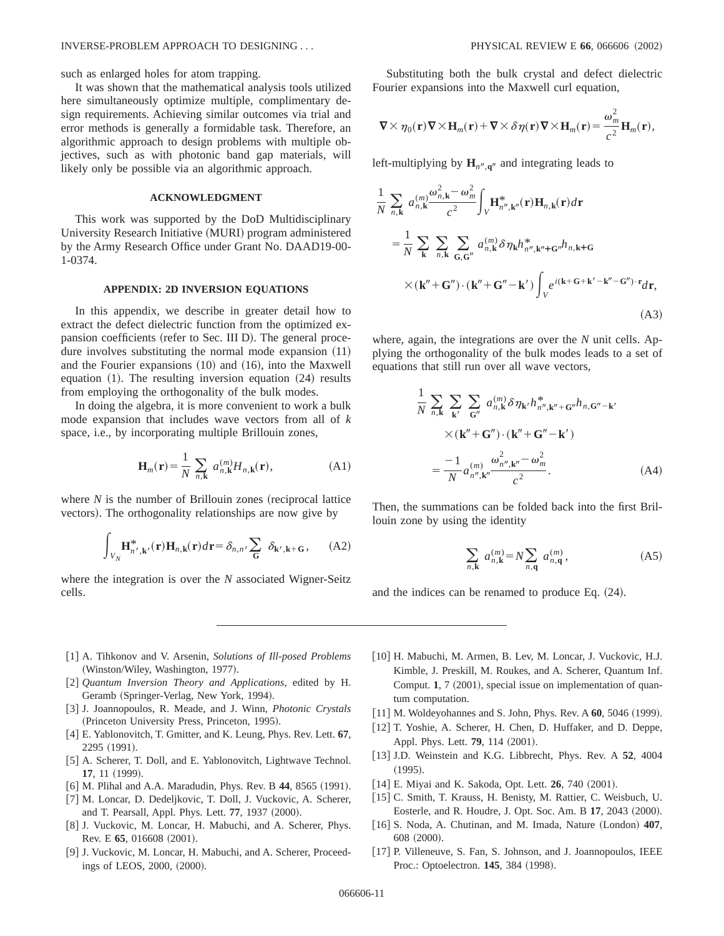such as enlarged holes for atom trapping.

It was shown that the mathematical analysis tools utilized here simultaneously optimize multiple, complimentary design requirements. Achieving similar outcomes via trial and error methods is generally a formidable task. Therefore, an algorithmic approach to design problems with multiple objectives, such as with photonic band gap materials, will likely only be possible via an algorithmic approach.

## **ACKNOWLEDGMENT**

This work was supported by the DoD Multidisciplinary University Research Initiative (MURI) program administered by the Army Research Office under Grant No. DAAD19-00- 1-0374.

#### **APPENDIX: 2D INVERSION EQUATIONS**

In this appendix, we describe in greater detail how to extract the defect dielectric function from the optimized expansion coefficients (refer to Sec. III D). The general procedure involves substituting the normal mode expansion  $(11)$ and the Fourier expansions  $(10)$  and  $(16)$ , into the Maxwell equation  $(1)$ . The resulting inversion equation  $(24)$  results from employing the orthogonality of the bulk modes.

In doing the algebra, it is more convenient to work a bulk mode expansion that includes wave vectors from all of *k* space, i.e., by incorporating multiple Brillouin zones,

$$
\mathbf{H}_{m}(\mathbf{r}) = \frac{1}{N} \sum_{n,\mathbf{k}} a_{n,\mathbf{k}}^{(m)} H_{n,\mathbf{k}}(\mathbf{r}),
$$
 (A1)

where  $N$  is the number of Brillouin zones (reciprocal lattice vectors). The orthogonality relationships are now give by

$$
\int_{V_N} \mathbf{H}_{n',\mathbf{k'}}^*(\mathbf{r}) \mathbf{H}_{n,\mathbf{k}}(\mathbf{r}) d\mathbf{r} = \delta_{n,n'} \sum_{\mathbf{G}} \delta_{\mathbf{k'},\mathbf{k} + \mathbf{G}}, \quad (A2)
$$

where the integration is over the *N* associated Wigner-Seitz cells.

Substituting both the bulk crystal and defect dielectric Fourier expansions into the Maxwell curl equation,

$$
\nabla \times \eta_0(\mathbf{r}) \nabla \times \mathbf{H}_m(\mathbf{r}) + \nabla \times \delta \eta(\mathbf{r}) \nabla \times \mathbf{H}_m(\mathbf{r}) = \frac{\omega_m^2}{c^2} \mathbf{H}_m(\mathbf{r}),
$$

left-multiplying by  $\mathbf{H}_{n^{\prime\prime},\mathbf{q}^{\prime\prime}}$  and integrating leads to

$$
\frac{1}{N} \sum_{n,\mathbf{k}} a_{n,\mathbf{k}}^{(m)} \frac{\omega_{n,\mathbf{k}}^2 - \omega_m^2}{c^2} \int_V \mathbf{H}_{n'',\mathbf{k''}}^*(\mathbf{r}) \mathbf{H}_{n,\mathbf{k}}(\mathbf{r}) d\mathbf{r}
$$
\n
$$
= \frac{1}{N} \sum_{\mathbf{k}} \sum_{n,\mathbf{k}} \sum_{\mathbf{G},\mathbf{G}''} a_{n,\mathbf{k}}^{(m)} \delta \eta_{\mathbf{k}} h_{n'',\mathbf{k''}+\mathbf{G}''}^* h_{n,\mathbf{k}+\mathbf{G}}
$$
\n
$$
\times (\mathbf{k''} + \mathbf{G''}) \cdot (\mathbf{k''} + \mathbf{G''} - \mathbf{k'}) \int_V e^{i(\mathbf{k} + \mathbf{G} + \mathbf{k'} - \mathbf{k''} - \mathbf{G''}) \cdot \mathbf{r}} d\mathbf{r},
$$
\n(A3)

where, again, the integrations are over the *N* unit cells. Applying the orthogonality of the bulk modes leads to a set of equations that still run over all wave vectors,

$$
\frac{1}{N} \sum_{n,\mathbf{k}} \sum_{\mathbf{k}'} \sum_{\mathbf{G}''} a_{n,\mathbf{k}}^{(m)} \delta \eta_{\mathbf{k}'} h_{n'',\mathbf{k}''+\mathbf{G}''}^* h_{n,\mathbf{G}''-\mathbf{k}'}
$$

$$
\times (\mathbf{k}'' + \mathbf{G}'') \cdot (\mathbf{k}'' + \mathbf{G}'' - \mathbf{k}')
$$

$$
= \frac{-1}{N} a_{n'',\mathbf{k}''}^{(m)} \frac{\omega_{n'',\mathbf{k}''}^2 - \omega_m^2}{c^2}.
$$
(A4)

Then, the summations can be folded back into the first Brillouin zone by using the identity

$$
\sum_{n,k} a_{n,k}^{(m)} = N \sum_{n,q} a_{n,q}^{(m)}, \tag{A5}
$$

and the indices can be renamed to produce Eq.  $(24)$ .

- [1] A. Tihkonov and V. Arsenin, *Solutions of Ill-posed Problems* (Winston/Wiley, Washington, 1977).
- [2] *Quantum Inversion Theory and Applications*, edited by H. Geramb (Springer-Verlag, New York, 1994).
- @3# J. Joannopoulos, R. Meade, and J. Winn, *Photonic Crystals* (Princeton University Press, Princeton, 1995).
- @4# E. Yablonovitch, T. Gmitter, and K. Leung, Phys. Rev. Lett. **67**, 2295 (1991).
- [5] A. Scherer, T. Doll, and E. Yablonovitch, Lightwave Technol. **17**, 11 (1999).
- [6] M. Plihal and A.A. Maradudin, Phys. Rev. B 44, 8565 (1991).
- [7] M. Loncar, D. Dedeljkovic, T. Doll, J. Vuckovic, A. Scherer, and T. Pearsall, Appl. Phys. Lett. 77, 1937 (2000).
- [8] J. Vuckovic, M. Loncar, H. Mabuchi, and A. Scherer, Phys. Rev. E 65, 016608 (2001).
- [9] J. Vuckovic, M. Loncar, H. Mabuchi, and A. Scherer, Proceedings of LEOS, 2000, (2000).
- [10] H. Mabuchi, M. Armen, B. Lev, M. Loncar, J. Vuckovic, H.J. Kimble, J. Preskill, M. Roukes, and A. Scherer, Quantum Inf. Comput. **1**, 7 (2001), special issue on implementation of quantum computation.
- [11] M. Woldeyohannes and S. John, Phys. Rev. A **60**, 5046 (1999).
- [12] T. Yoshie, A. Scherer, H. Chen, D. Huffaker, and D. Deppe, Appl. Phys. Lett. **79**, 114 (2001).
- [13] J.D. Weinstein and K.G. Libbrecht, Phys. Rev. A 52, 4004  $(1995).$
- [14] E. Miyai and K. Sakoda, Opt. Lett. **26**, 740 (2001).
- [15] C. Smith, T. Krauss, H. Benisty, M. Rattier, C. Weisbuch, U. Eosterle, and R. Houdre, J. Opt. Soc. Am. B 17, 2043 (2000).
- [16] S. Noda, A. Chutinan, and M. Imada, Nature (London) 407, 608 (2000).
- [17] P. Villeneuve, S. Fan, S. Johnson, and J. Joannopoulos, IEEE Proc.: Optoelectron. **145**, 384 (1998).